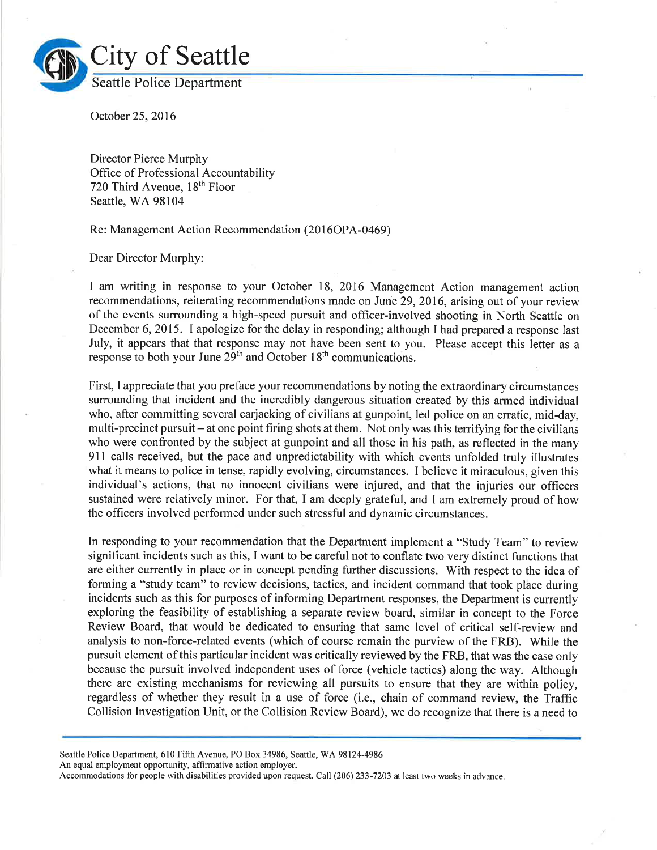

October 25,2016

Director Pierce Murphy Office of Professional Accountability 720 Third Avenue, 18th Floor Seattle, WA 98104

Re: Management Action Recommendation (2016OPA-0469)

Dear Director Murphy:

I am writing in response to your October 18, 2016 Management Action management action recommendations, reiterating recommendations made on June 29, 2016, arising out of your review of the events surrounding a high-speed pursuit and officer-involved shooting in North Seattle on December 6, 2015. I apologize for the delay in responding; although I had prepared a response last July, it appears that that response may not have been sent to you. Please accept this letter as <sup>a</sup> response to both your June 29<sup>th</sup> and October 18<sup>th</sup> communications.

First, I appreciate that you preface your recommendations by noting the extraordinary circumstances surrounding that incident and the incredibly dangerous situation created by this armed individual who, after committing several carjacking of civilians at gunpoint, led police on an erratic, mid-day, multi-precinct pursuit – at one point firing shots at them. Not only was this terrifying for the civilians who were confronted by the subject at gunpoint and all those in his path, as reflected in the many 9ll calls received, but the pace and unpredictability with which events unfolded truly illustrates what it means to police in tense, rapidly evolving, circumstances. I believe it miraculous, given this individual's actions, that no innocent civilians were injured, and that the injuries our officers sustained were relatively minor. For that, I am deeply grateful, and I am extremely proud of how the officers involved performed under such stressful and dynamic circumstances.

In responding to your recommendation that the Department implement a "Study Team" to review significant incidents such as this, I want to be careful not to conflate two very distinct functions that are either currently in place or in concept pending further discussions. With respect to the idea of forming a "study team" to review decisions, tactics, and incident command that took place during incidents such as this for purposes of informing Department responses, the Department is currently exploring the feasibility of establishing a separate review board, similar in concept to the Force Review Board, that would be dedicated to ensuring that same level of critical self-review and analysis to non-force-related events (which of course remain the purview of the FRB). While the pursuit element of this particular incident was critically reviewed by the FRB, that was the case only because the pursuit involved independent uses of force (vehicle tactics) along the way. Although there are existing mechanisms for reviewing all pursuits to ensure that they are within policy, regardless of whether they result in a use of force (i.e., chain of command review, the Traffic Collision Investigation Unit, or the Collision Review Board), we do recognize that there is a need to

Seattle Police Department, 610 Fifth Avenue, PO Box 34986, Seattle, WA 98124-4986

An equal employment opportunity, affirmative action employer.

Accommodations for people with disabilities provided upon request. Call (206) 233-7203 at least two weeks in advance.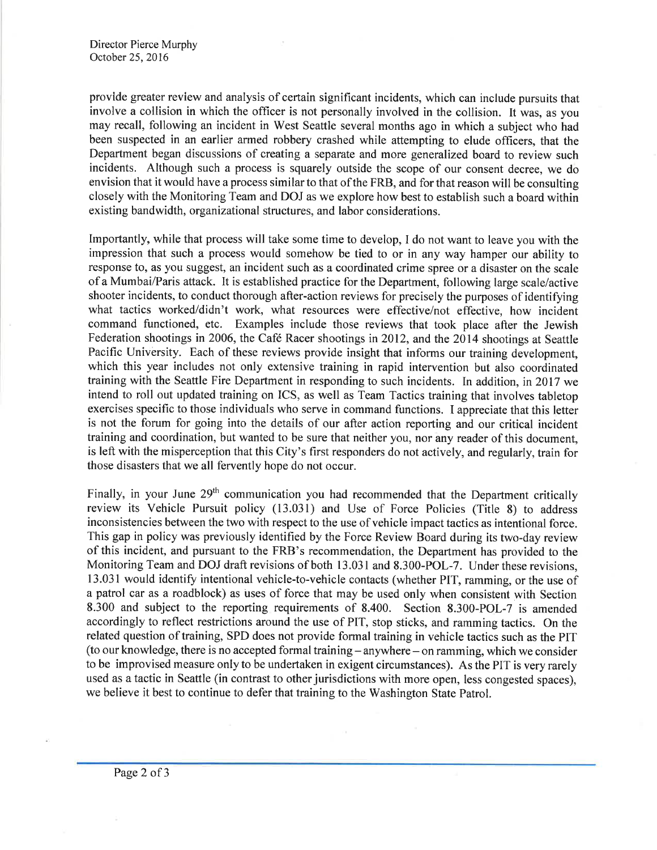provlde greater review and analysis of certain significant incidents, which can include pursuits that involve a collision in which the officer is not personally involved in the collision. It was, as you may recall, following an incident in West Seattle several months ago in which a subject who had been suspected in an earlier armed robbery crashed while attempting to elude officers, that the Department began discussions of creating a separate and more generalized board to review such incidents. Although such a process is squarely outside the scope of our consent decree, we do envision that it would have a process similar to that of the FRB, and for that reason will be consulting closely with the Monitoring Team and DOJ as we explore how best to establish such a board within existing bandwidth, organizational structures, and labor considerations.

Importantly, while that process will take some time to develop, I do not want to leave you with the impression that such a process would somehow be tied to or in any way hamper our ability to response to, as you suggest, an incident such as a coordinated crime spree or a disaster on the scale of a Mumbai/Paris attack. It is established practice for the Department, following large scale/active shooter incidents, to conduct thorough after-action reviews for precisely the purposes of identifying what tactics worked/didn't work, what resources were effective/not effective, how incident command functioned, etc. Examples include those reviews that took place after the Jewish Federation shootings in 2006, the Café Racer shootings in 2012, and the 2014 shootings at Seattle Pacific University. Each of these reviews provide insight that informs our training development, which this year includes not only extensive training in rapid intervention but also coordinated training with the Seattle Fire Department in responding to such incidents. In addition, in 2017 we intend to roll out updated training on ICS, as well as Team Tactics training that involves tabletop exercises specific to those individuals who serve in command functions. I appreciate that this letter is not the forum for going into the details of our after action reporting and our critical incident training and coordination, but wanted to be sure that neither you, nor any reader of this document, is left with the misperception that this City's fìrst responders do not actively, and regularly, train for those disasters that we all fervently hope do not occur.

Finally, in your June 29<sup>th</sup> communication you had recommended that the Department critically review its Vehicle Pursuit policy (13.031) and Use of Force Policies (Title S) to address inconsistencies between the two with respect to the use of vehicle impact tactics as intentional force. This gap in policy was previously identified by the Force Review Board during its two-day review of this incident, and pursuant to the FRB's recommendation, the Department has provided to the Monitoring Team and DOJ draft revisions of both 13.031 and 8.300-POL-7. Under these revisions, 13.031 would identify intentional vehicle-to-vehicle contacts (whether PIT, ramming, or the use of a patrol car as a roadblock) as uses of force that may be used only when consistent with Section 8.300 and subject to the reporting requirements of 8.400. Section 8.300-POL-7 is amended accordingly to reflect restrictions around the use of PIT, stop sticks, and ramming tactics. On the related question of training, SPD does not provide formal training in vehicle tactics such as the PIT (to our knowledge, there is no accepted formal training - anywhere - on ramming, which we consider to be improvised measure only to be undertaken in exigent circumstances). As the PIT is very rarely used as atactic in Seattle (in contrast to other jurisdictions with more open, less congested spaces), we believe it best to continue to defer that training to the Washington State Patrol.